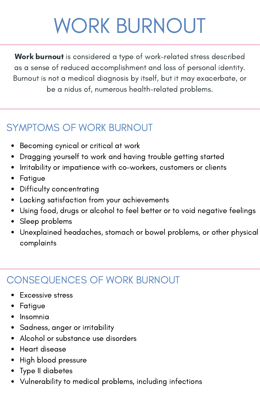# WORK BURNOUT

Work burnout is considered a type of work-related stress described as a sense of reduced accomplishment and loss of personal identity. Burnout is not a medical diagnosis by itself, but it may exacerbate, or be a nidus of, numerous health-related problems.

# SYMPTOMS OF WORK BURNOUT

- Becoming cynical or critical at work
- Dragging yourself to work and having trouble getting started  $\bullet$
- Irritability or impatience with co-workers, customers or clients
- Fatigue
- Difficulty concentrating
- Lacking satisfaction from your achievements
- Using food, drugs or alcohol to feel better or to void negative feelings
- Sleep problems
- Unexplained headaches, stomach or bowel problems, or other physical complaints

# CONSEQUENCES OF WORK BURNOUT

- **•** Excessive stress
- Fatigue
- Insomnia
- Sadness, anger or irritability
- Alcohol or substance use disorders
- Heart disease
- High blood pressure
- Type II diabetes
- Vulnerability to medical problems, including infections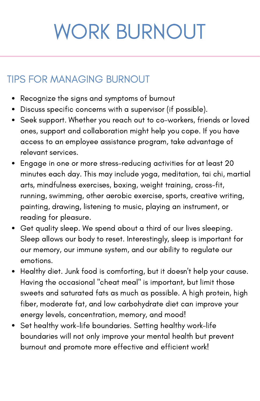# WORK BURNOUT

## TIPS FOR MANAGING BURNOUT

- Recognize the signs and symptoms of burnout
- Discuss specific concerns with a supervisor (if possible).
- Seek support. Whether you reach out to co-workers, friends or loved ones, support and collaboration might help you cope. If you have access to an employee assistance program, take advantage of relevant services.
- Engage in one or more stress-reducing activities for at least 20 minutes each day. This may include yoga, meditation, tai chi, martial arts, mindfulness exercises, boxing, weight training, cross-fit, running, swimming, other aerobic exercise, sports, creative writing, painting, drawing, listening to music, playing an instrument, or reading for pleasure.
- Get quality sleep. We spend about a third of our lives sleeping. Sleep allows our body to reset. Interestingly, sleep is important for our memory, our immune system, and our ability to regulate our emotions.
- Healthy diet. Junk food is comforting, but it doesn't help your cause. Having the occasional "cheat meal" is important, but limit those sweets and saturated fats as much as possible. A high protein, high fiber, moderate fat, and low carbohydrate diet can improve your energy levels, concentration, memory, and mood!
- Set healthy work-life boundaries. Setting healthy work-life boundaries will not only improve your mental health but prevent burnout and promote more effective and efficient work!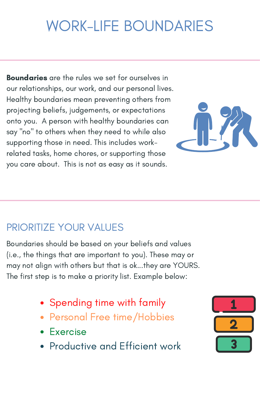**Boundaries** are the rules we set for ourselves in our relationships, our work, and our personal lives. Healthy boundaries mean preventing others from projecting beliefs, judgements, or expectations onto you. A person with healthy boundaries can say "no" to others when they need to while also supporting those in need. This includes workrelated tasks, home chores, or supporting those you care about. This is not as easy as it sounds.

# PRIORITIZE YOUR VALUES

Boundaries should be based on your beliefs and values (i.e., the things that are important to you). These may or may not align with others but that is ok...they are YOURS. The first step is to make a priority list. Example below:

- Spending time with family
- Personal Free time/Hobbies
- Exercise
- Productive and Efficient work

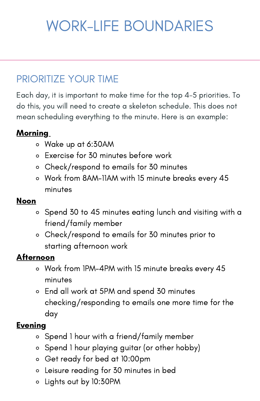# PRIORITIZE YOUR TIME

Each day, it is important to make time for the top 4-5 priorities. To do this, you will need to create a skeleton schedule. This does not mean scheduling everything to the minute. Here is an example:

#### Morning

- Wake up at 6:30AM
- Exercise for 30 minutes before work
- Check/respond to emails for 30 minutes
- Work from 8AM-11AM with 15 minute breaks every 45 minutes

#### Noon

- Spend 30 to 45 minutes eating lunch and visiting with a  $\circ$ friend/family member
- Check/respond to emails for 30 minutes prior to starting afternoon work

#### Afternoon

- Work from 1PM-4PM with 15 minute breaks every 45 minutes
- End all work at 5PM and spend 30 minutes checking/responding to emails one more time for the day

#### **Evening**

- Spend 1 hour with a friend/family member
- Spend 1 hour playing guitar (or other hobby)
- Get ready for bed at 10:00pm
- Leisure reading for 30 minutes in bed
- Lights out by 10:30PM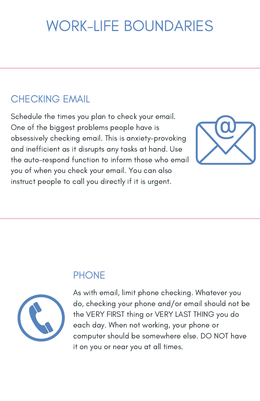# CHECKING EMAIL

Schedule the times you plan to check your email. One of the biggest problems people have is obsessively checking email. This is anxiety-provoking and inefficient as it disrupts any tasks at hand. Use the auto-respond function to inform those who email you of when you check your email. You can also instruct people to call you directly if it is urgent.



## **PHONE**



As with email, limit phone checking. Whatever you do, checking your phone and/or email should not be the VERY FIRST thing or VERY LAST THING you do each day. When not working, your phone or computer should be somewhere else. DO NOT have it on you or near you at all times.